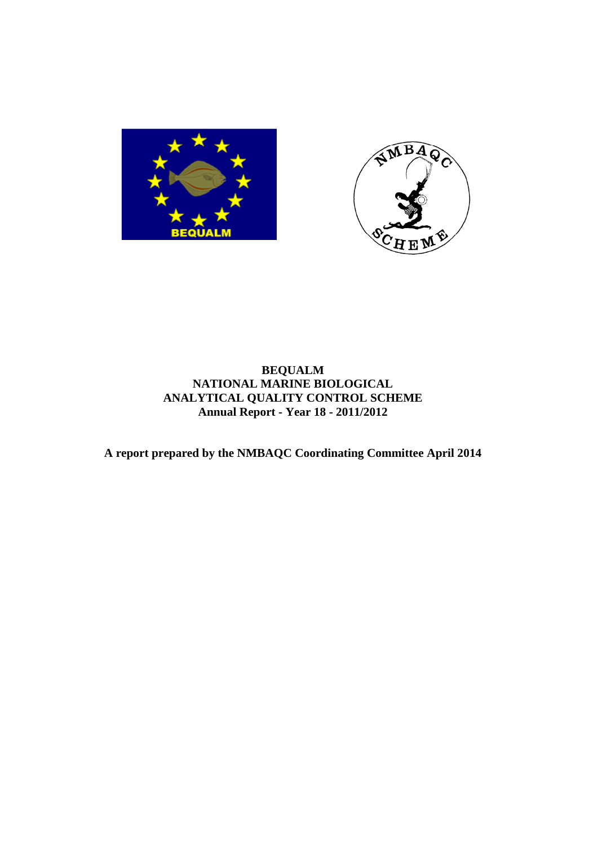



# **BEQUALM NATIONAL MARINE BIOLOGICAL ANALYTICAL QUALITY CONTROL SCHEME Annual Report - Year 18 - 2011/2012**

**A report prepared by the NMBAQC Coordinating Committee April 2014**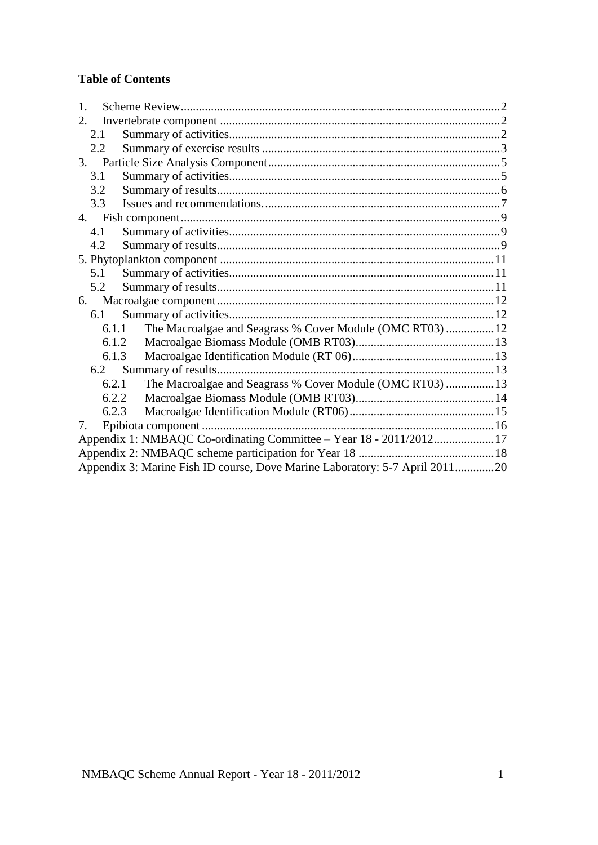# **Table of Contents**

| 1.  |       |                                                                             |  |
|-----|-------|-----------------------------------------------------------------------------|--|
| 2.  |       |                                                                             |  |
| 2.1 |       |                                                                             |  |
| 2.2 |       |                                                                             |  |
| 3.  |       |                                                                             |  |
| 3.1 |       |                                                                             |  |
| 3.2 |       |                                                                             |  |
| 3.3 |       |                                                                             |  |
|     |       |                                                                             |  |
| 4.1 |       |                                                                             |  |
| 4.2 |       |                                                                             |  |
|     |       |                                                                             |  |
| 5.1 |       |                                                                             |  |
| 5.2 |       |                                                                             |  |
| 6.  |       |                                                                             |  |
|     | 6.1   |                                                                             |  |
|     | 6.1.1 | The Macroalgae and Seagrass % Cover Module (OMC RT03)12                     |  |
|     |       | 6.1.2                                                                       |  |
|     | 6.1.3 |                                                                             |  |
|     |       |                                                                             |  |
|     | 6.2.1 | The Macroalgae and Seagrass % Cover Module (OMC RT03)  13                   |  |
|     | 6.2.2 |                                                                             |  |
|     | 6.2.3 |                                                                             |  |
| 7.  |       |                                                                             |  |
|     |       | Appendix 1: NMBAQC Co-ordinating Committee - Year 18 - 2011/201217          |  |
|     |       |                                                                             |  |
|     |       | Appendix 3: Marine Fish ID course, Dove Marine Laboratory: 5-7 April 201120 |  |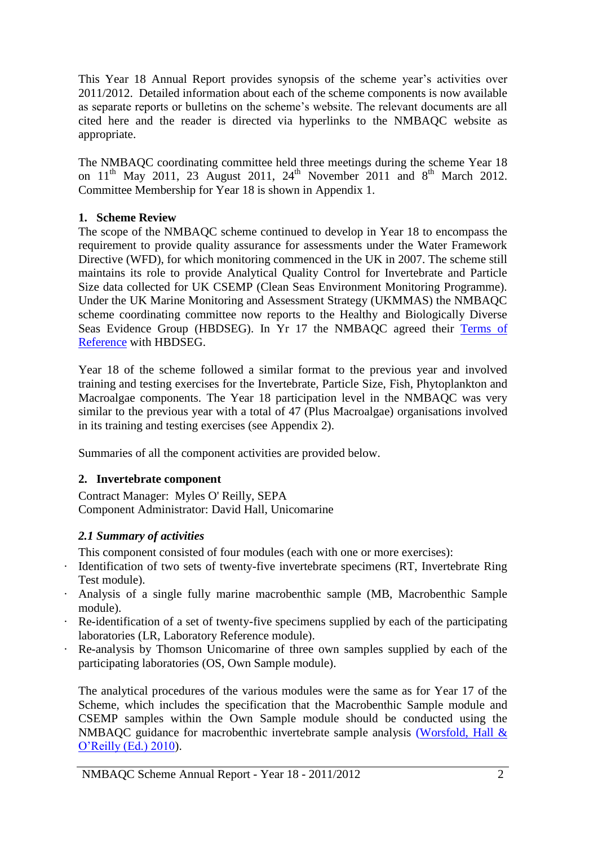This Year 18 Annual Report provides synopsis of the scheme year's activities over 2011/2012. Detailed information about each of the scheme components is now available as separate reports or bulletins on the scheme's website. The relevant documents are all cited here and the reader is directed via hyperlinks to the NMBAQC website as appropriate.

The NMBAQC coordinating committee held three meetings during the scheme Year 18 on  $11<sup>th</sup>$  May 2011, 23 August 2011, 24<sup>th</sup> November 2011 and 8<sup>th</sup> March 2012. Committee Membership for Year 18 is shown in Appendix 1.

## <span id="page-2-0"></span>**1. Scheme Review**

The scope of the NMBAQC scheme continued to develop in Year 18 to encompass the requirement to provide quality assurance for assessments under the Water Framework Directive (WFD), for which monitoring commenced in the UK in 2007. The scheme still maintains its role to provide Analytical Quality Control for Invertebrate and Particle Size data collected for UK CSEMP (Clean Seas Environment Monitoring Programme). Under the UK Marine Monitoring and Assessment Strategy (UKMMAS) the NMBAQC scheme coordinating committee now reports to the Healthy and Biologically Diverse Seas Evidence Group (HBDSEG). In Yr 17 the NMBAQC agreed their [Terms of](http://www.nmbaqcs.org/media/5140/nmbaqc_tor_2010%20final.pdf)  [Reference](http://www.nmbaqcs.org/media/5140/nmbaqc_tor_2010%20final.pdf) with HBDSEG.

Year 18 of the scheme followed a similar format to the previous year and involved training and testing exercises for the Invertebrate, Particle Size, Fish, Phytoplankton and Macroalgae components. The Year 18 participation level in the NMBAQC was very similar to the previous year with a total of 47 (Plus Macroalgae) organisations involved in its training and testing exercises (see Appendix 2).

Summaries of all the component activities are provided below.

# <span id="page-2-1"></span>**2. Invertebrate component**

Contract Manager: Myles O' Reilly, SEPA Component Administrator: David Hall, Unicomarine

# <span id="page-2-2"></span>*2.1 Summary of activities*

This component consisted of four modules (each with one or more exercises):

- · Identification of two sets of twenty-five invertebrate specimens (RT, Invertebrate Ring Test module).
- · Analysis of a single fully marine macrobenthic sample (MB, Macrobenthic Sample module).
- · Re-identification of a set of twenty-five specimens supplied by each of the participating laboratories (LR, Laboratory Reference module).
- · Re-analysis by Thomson Unicomarine of three own samples supplied by each of the participating laboratories (OS, Own Sample module).

The analytical procedures of the various modules were the same as for Year 17 of the Scheme, which includes the specification that the Macrobenthic Sample module and CSEMP samples within the Own Sample module should be conducted using the NMBAQC guidance for macrobenthic invertebrate sample analysis [\(Worsfold, Hall &](http://www.nmbaqcs.org/scheme-components/invertebrates/reports/nmbaqc---inv---prp---v10-june2010.aspx)  [O'Reilly \(Ed.\) 2010\)](http://www.nmbaqcs.org/scheme-components/invertebrates/reports/nmbaqc---inv---prp---v10-june2010.aspx).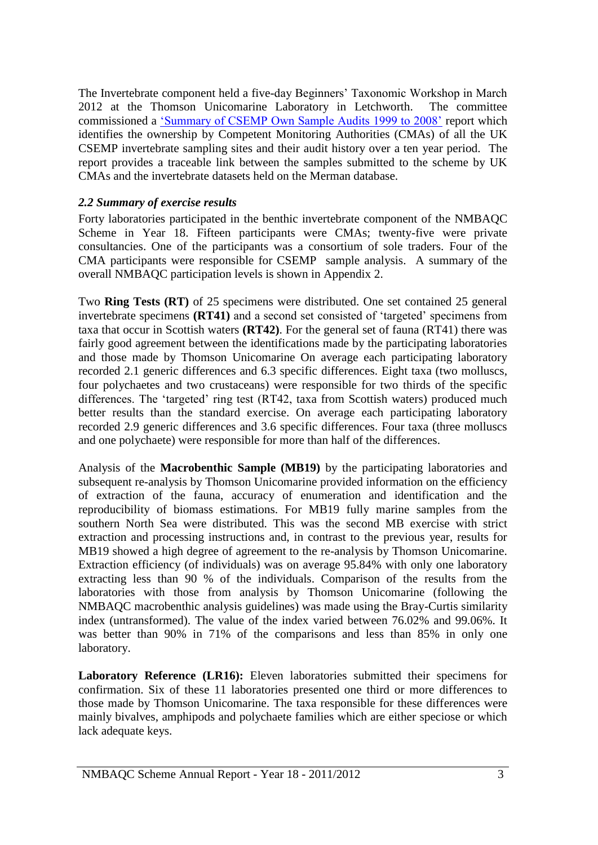The Invertebrate component held a five-day Beginners' Taxonomic Workshop in March 2012 at the Thomson Unicomarine Laboratory in Letchworth. The committee commissioned a ['Summary of CSEMP Own Sample Audits 1999 to 2008'](http://www.nmbaqcs.org/media/11652/99_08%20csemp%20os%20report.pdf) report which identifies the ownership by Competent Monitoring Authorities (CMAs) of all the UK CSEMP invertebrate sampling sites and their audit history over a ten year period. The report provides a traceable link between the samples submitted to the scheme by UK CMAs and the invertebrate datasets held on the Merman database.

## <span id="page-3-0"></span>*2.2 Summary of exercise results*

Forty laboratories participated in the benthic invertebrate component of the NMBAQC Scheme in Year 18. Fifteen participants were CMAs; twenty-five were private consultancies. One of the participants was a consortium of sole traders. Four of the CMA participants were responsible for CSEMP sample analysis. A summary of the overall NMBAQC participation levels is shown in Appendix 2.

Two **Ring Tests (RT)** of 25 specimens were distributed. One set contained 25 general invertebrate specimens **(RT41)** and a second set consisted of 'targeted' specimens from taxa that occur in Scottish waters **(RT42)**. For the general set of fauna (RT41) there was fairly good agreement between the identifications made by the participating laboratories and those made by Thomson Unicomarine On average each participating laboratory recorded 2.1 generic differences and 6.3 specific differences. Eight taxa (two molluscs, four polychaetes and two crustaceans) were responsible for two thirds of the specific differences. The 'targeted' ring test (RT42, taxa from Scottish waters) produced much better results than the standard exercise. On average each participating laboratory recorded 2.9 generic differences and 3.6 specific differences. Four taxa (three molluscs and one polychaete) were responsible for more than half of the differences.

Analysis of the **Macrobenthic Sample (MB19)** by the participating laboratories and subsequent re-analysis by Thomson Unicomarine provided information on the efficiency of extraction of the fauna, accuracy of enumeration and identification and the reproducibility of biomass estimations. For MB19 fully marine samples from the southern North Sea were distributed. This was the second MB exercise with strict extraction and processing instructions and, in contrast to the previous year, results for MB19 showed a high degree of agreement to the re-analysis by Thomson Unicomarine. Extraction efficiency (of individuals) was on average 95.84% with only one laboratory extracting less than 90 % of the individuals. Comparison of the results from the laboratories with those from analysis by Thomson Unicomarine (following the NMBAQC macrobenthic analysis guidelines) was made using the Bray-Curtis similarity index (untransformed). The value of the index varied between 76.02% and 99.06%. It was better than 90% in 71% of the comparisons and less than 85% in only one laboratory.

**Laboratory Reference (LR16):** Eleven laboratories submitted their specimens for confirmation. Six of these 11 laboratories presented one third or more differences to those made by Thomson Unicomarine. The taxa responsible for these differences were mainly bivalves, amphipods and polychaete families which are either speciose or which lack adequate keys.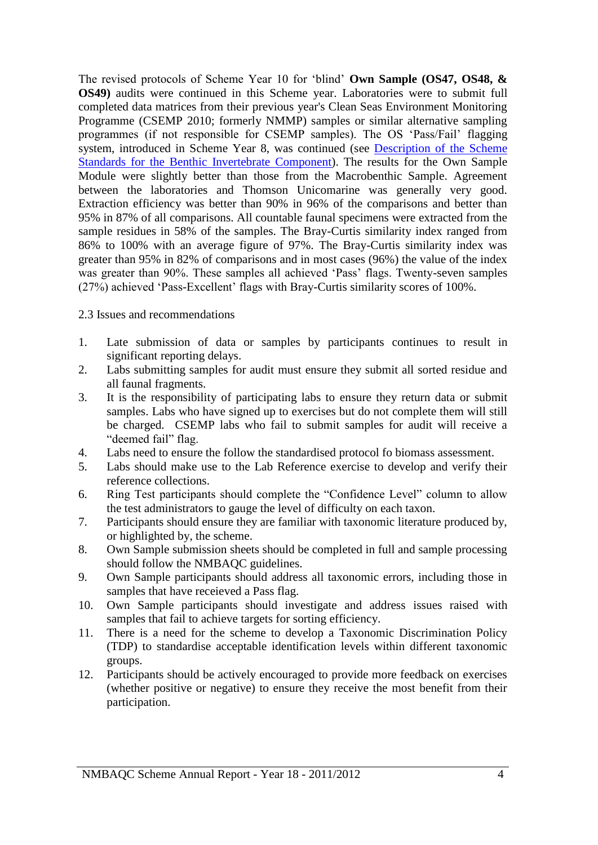The revised protocols of Scheme Year 10 for 'blind' **Own Sample (OS47, OS48, & OS49)** audits were continued in this Scheme year. Laboratories were to submit full completed data matrices from their previous year's Clean Seas Environment Monitoring Programme (CSEMP 2010; formerly NMMP) samples or similar alternative sampling programmes (if not responsible for CSEMP samples). The OS 'Pass/Fail' flagging system, introduced in Scheme Year 8, was continued (see [Description of the Scheme](http://www.nmbaqcs.org/media/8629/inverts_stds_report.pdf)  [Standards for the Benthic Invertebrate Component\)](http://www.nmbaqcs.org/media/8629/inverts_stds_report.pdf). The results for the Own Sample Module were slightly better than those from the Macrobenthic Sample. Agreement between the laboratories and Thomson Unicomarine was generally very good. Extraction efficiency was better than 90% in 96% of the comparisons and better than 95% in 87% of all comparisons. All countable faunal specimens were extracted from the sample residues in 58% of the samples. The Bray-Curtis similarity index ranged from 86% to 100% with an average figure of 97%. The Bray-Curtis similarity index was greater than 95% in 82% of comparisons and in most cases (96%) the value of the index was greater than 90%. These samples all achieved 'Pass' flags. Twenty-seven samples (27%) achieved 'Pass-Excellent' flags with Bray-Curtis similarity scores of 100%.

2.3 Issues and recommendations

- 1. Late submission of data or samples by participants continues to result in significant reporting delays.
- 2. Labs submitting samples for audit must ensure they submit all sorted residue and all faunal fragments.
- 3. It is the responsibility of participating labs to ensure they return data or submit samples. Labs who have signed up to exercises but do not complete them will still be charged. CSEMP labs who fail to submit samples for audit will receive a "deemed fail" flag.
- 4. Labs need to ensure the follow the standardised protocol fo biomass assessment.
- 5. Labs should make use to the Lab Reference exercise to develop and verify their reference collections.
- 6. Ring Test participants should complete the "Confidence Level" column to allow the test administrators to gauge the level of difficulty on each taxon.
- 7. Participants should ensure they are familiar with taxonomic literature produced by, or highlighted by, the scheme.
- 8. Own Sample submission sheets should be completed in full and sample processing should follow the NMBAQC guidelines.
- 9. Own Sample participants should address all taxonomic errors, including those in samples that have receieved a Pass flag.
- 10. Own Sample participants should investigate and address issues raised with samples that fail to achieve targets for sorting efficiency.
- 11. There is a need for the scheme to develop a Taxonomic Discrimination Policy (TDP) to standardise acceptable identification levels within different taxonomic groups.
- 12. Participants should be actively encouraged to provide more feedback on exercises (whether positive or negative) to ensure they receive the most benefit from their participation.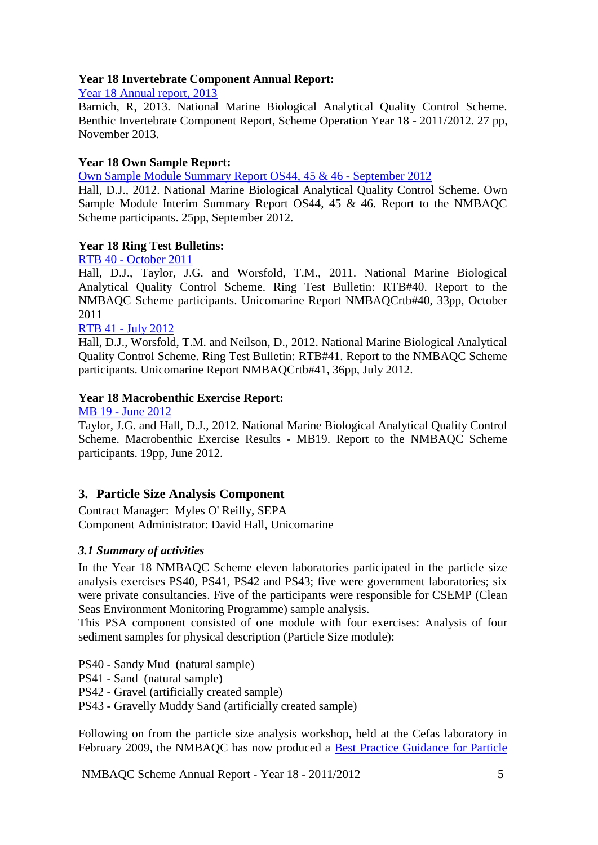### **Year 18 Invertebrate Component Annual Report:**

[Year 18 Annual report, 2013](http://www.nmbaqcs.org/media/15604/yr18_annrep%20inv%20rep_final.pdf)

Barnich, R, 2013. National Marine Biological Analytical Quality Control Scheme. Benthic Invertebrate Component Report, Scheme Operation Year 18 - 2011/2012. 27 pp, November 2013.

#### **Year 18 Own Sample Report:**

[Own Sample Module Summary](http://www.nmbaqcs.org/scheme-components/invertebrates/reports/own-sample-module-interim-report-444546.aspx) Report OS44, 45 & 46 - September 2012

Hall, D.J., 2012. National Marine Biological Analytical Quality Control Scheme. Own Sample Module Interim Summary Report OS44, 45 & 46. Report to the NMBAQC Scheme participants. 25pp, September 2012.

#### **Year 18 Ring Test Bulletins:**

RTB 40 - [October 2011](http://www.nmbaqcs.org/scheme-components/invertebrates/reports/rtb-40.aspx)

Hall, D.J., Taylor, J.G. and Worsfold, T.M., 2011. National Marine Biological Analytical Quality Control Scheme. Ring Test Bulletin: RTB#40. Report to the NMBAQC Scheme participants. Unicomarine Report NMBAQCrtb#40, 33pp, October 2011

#### RTB 41 - [July 2012](http://www.nmbaqcs.org/scheme-components/invertebrates/reports/rtb-41.aspx)

Hall, D.J., Worsfold, T.M. and Neilson, D., 2012. National Marine Biological Analytical Quality Control Scheme. Ring Test Bulletin: RTB#41. Report to the NMBAQC Scheme participants. Unicomarine Report NMBAQCrtb#41, 36pp, July 2012.

#### **Year 18 Macrobenthic Exercise Report:**

MB 19 - [June 2012](http://www.nmbaqcs.org/scheme-components/invertebrates/reports/nmbaqc_macrobenthic-excercise-results.aspx)

Taylor, J.G. and Hall, D.J., 2012. National Marine Biological Analytical Quality Control Scheme. Macrobenthic Exercise Results - MB19. Report to the NMBAQC Scheme participants. 19pp, June 2012.

# <span id="page-5-0"></span>**3. Particle Size Analysis Component**

Contract Manager: Myles O' Reilly, SEPA Component Administrator: David Hall, Unicomarine

#### <span id="page-5-1"></span>*3.1 Summary of activities*

In the Year 18 NMBAQC Scheme eleven laboratories participated in the particle size analysis exercises PS40, PS41, PS42 and PS43; five were government laboratories; six were private consultancies. Five of the participants were responsible for CSEMP (Clean Seas Environment Monitoring Programme) sample analysis.

This PSA component consisted of one module with four exercises: Analysis of four sediment samples for physical description (Particle Size module):

PS40 - Sandy Mud (natural sample)

PS41 - Sand (natural sample)

PS42 - Gravel (artificially created sample)

PS43 - Gravelly Muddy Sand (artificially created sample)

Following on from the particle size analysis workshop, held at the Cefas laboratory in February 2009, the NMBAQC has now produced a [Best Practice Guidance for Particle](http://www.nmbaqcs.org/media/10839/nmbaqc%20best%20practice%20guidance_particle%20size%20analysis.pdf)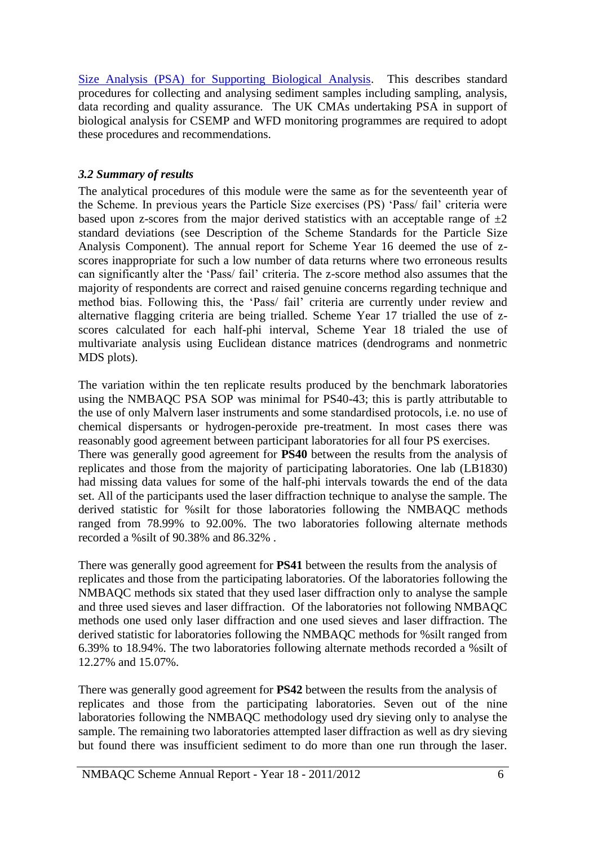[Size Analysis \(PSA\) for Supporting Biological Analysis.](http://www.nmbaqcs.org/media/10839/nmbaqc%20best%20practice%20guidance_particle%20size%20analysis.pdf) This describes standard procedures for collecting and analysing sediment samples including sampling, analysis, data recording and quality assurance. The UK CMAs undertaking PSA in support of biological analysis for CSEMP and WFD monitoring programmes are required to adopt these procedures and recommendations.

# <span id="page-6-0"></span>*3.2 Summary of results*

The analytical procedures of this module were the same as for the seventeenth year of the Scheme. In previous years the Particle Size exercises (PS) 'Pass/ fail' criteria were based upon z-scores from the major derived statistics with an acceptable range of  $\pm 2$ standard deviations (see Description of the Scheme Standards for the Particle Size Analysis Component). The annual report for Scheme Year 16 deemed the use of zscores inappropriate for such a low number of data returns where two erroneous results can significantly alter the 'Pass/ fail' criteria. The z-score method also assumes that the majority of respondents are correct and raised genuine concerns regarding technique and method bias. Following this, the 'Pass/ fail' criteria are currently under review and alternative flagging criteria are being trialled. Scheme Year 17 trialled the use of zscores calculated for each half-phi interval, Scheme Year 18 trialed the use of multivariate analysis using Euclidean distance matrices (dendrograms and nonmetric MDS plots).

The variation within the ten replicate results produced by the benchmark laboratories using the NMBAQC PSA SOP was minimal for PS40-43; this is partly attributable to the use of only Malvern laser instruments and some standardised protocols, i.e. no use of chemical dispersants or hydrogen-peroxide pre-treatment. In most cases there was reasonably good agreement between participant laboratories for all four PS exercises. There was generally good agreement for **PS40** between the results from the analysis of replicates and those from the majority of participating laboratories. One lab (LB1830) had missing data values for some of the half-phi intervals towards the end of the data set. All of the participants used the laser diffraction technique to analyse the sample. The derived statistic for %silt for those laboratories following the NMBAQC methods ranged from 78.99% to 92.00%. The two laboratories following alternate methods recorded a %silt of 90.38% and 86.32% .

There was generally good agreement for **PS41** between the results from the analysis of replicates and those from the participating laboratories. Of the laboratories following the NMBAQC methods six stated that they used laser diffraction only to analyse the sample and three used sieves and laser diffraction. Of the laboratories not following NMBAQC methods one used only laser diffraction and one used sieves and laser diffraction. The derived statistic for laboratories following the NMBAQC methods for %silt ranged from 6.39% to 18.94%. The two laboratories following alternate methods recorded a %silt of 12.27% and 15.07%.

There was generally good agreement for **PS42** between the results from the analysis of replicates and those from the participating laboratories. Seven out of the nine laboratories following the NMBAQC methodology used dry sieving only to analyse the sample. The remaining two laboratories attempted laser diffraction as well as dry sieving but found there was insufficient sediment to do more than one run through the laser.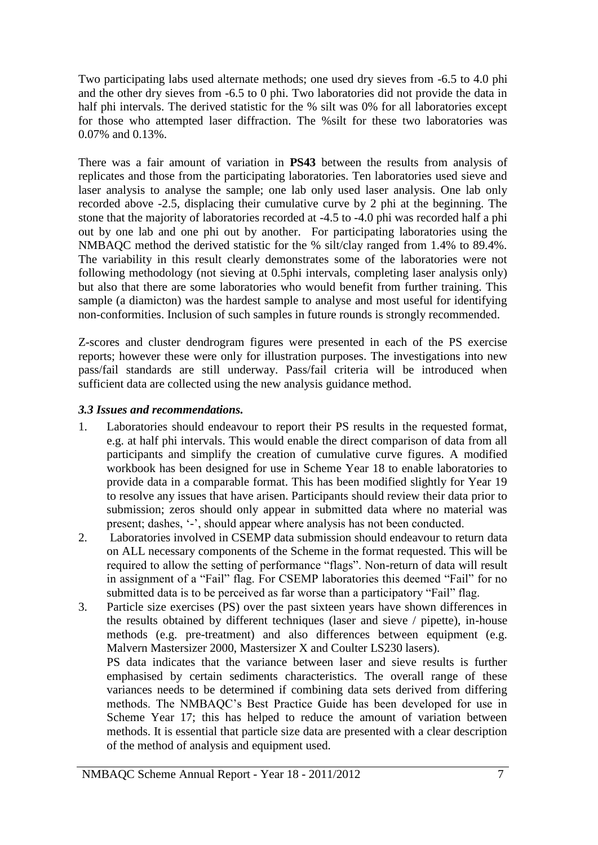Two participating labs used alternate methods; one used dry sieves from -6.5 to 4.0 phi and the other dry sieves from -6.5 to 0 phi. Two laboratories did not provide the data in half phi intervals. The derived statistic for the % silt was 0% for all laboratories except for those who attempted laser diffraction. The %silt for these two laboratories was 0.07% and 0.13%.

There was a fair amount of variation in **PS43** between the results from analysis of replicates and those from the participating laboratories. Ten laboratories used sieve and laser analysis to analyse the sample; one lab only used laser analysis. One lab only recorded above -2.5, displacing their cumulative curve by 2 phi at the beginning. The stone that the majority of laboratories recorded at -4.5 to -4.0 phi was recorded half a phi out by one lab and one phi out by another. For participating laboratories using the NMBAQC method the derived statistic for the % silt/clay ranged from 1.4% to 89.4%. The variability in this result clearly demonstrates some of the laboratories were not following methodology (not sieving at 0.5phi intervals, completing laser analysis only) but also that there are some laboratories who would benefit from further training. This sample (a diamicton) was the hardest sample to analyse and most useful for identifying non-conformities. Inclusion of such samples in future rounds is strongly recommended.

Z-scores and cluster dendrogram figures were presented in each of the PS exercise reports; however these were only for illustration purposes. The investigations into new pass/fail standards are still underway. Pass/fail criteria will be introduced when sufficient data are collected using the new analysis guidance method.

## <span id="page-7-0"></span>*3.3 Issues and recommendations.*

- 1. Laboratories should endeavour to report their PS results in the requested format, e.g. at half phi intervals. This would enable the direct comparison of data from all participants and simplify the creation of cumulative curve figures. A modified workbook has been designed for use in Scheme Year 18 to enable laboratories to provide data in a comparable format. This has been modified slightly for Year 19 to resolve any issues that have arisen. Participants should review their data prior to submission; zeros should only appear in submitted data where no material was present; dashes, '-', should appear where analysis has not been conducted.
- 2. Laboratories involved in CSEMP data submission should endeavour to return data on ALL necessary components of the Scheme in the format requested. This will be required to allow the setting of performance "flags". Non-return of data will result in assignment of a "Fail" flag. For CSEMP laboratories this deemed "Fail" for no submitted data is to be perceived as far worse than a participatory "Fail" flag.
- 3. Particle size exercises (PS) over the past sixteen years have shown differences in the results obtained by different techniques (laser and sieve / pipette), in-house methods (e.g. pre-treatment) and also differences between equipment (e.g. Malvern Mastersizer 2000, Mastersizer X and Coulter LS230 lasers). PS data indicates that the variance between laser and sieve results is further emphasised by certain sediments characteristics. The overall range of these variances needs to be determined if combining data sets derived from differing methods. The NMBAQC's Best Practice Guide has been developed for use in Scheme Year 17; this has helped to reduce the amount of variation between methods. It is essential that particle size data are presented with a clear description of the method of analysis and equipment used.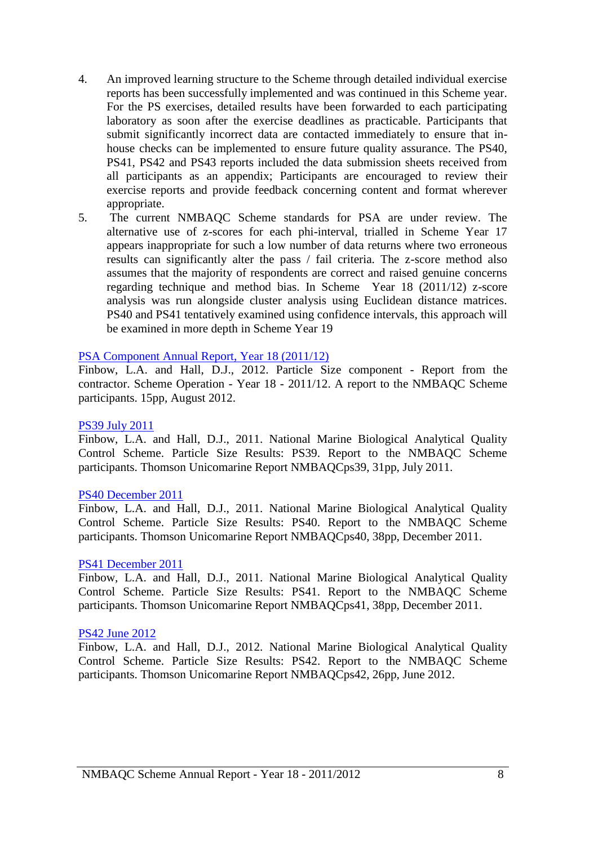- 4. An improved learning structure to the Scheme through detailed individual exercise reports has been successfully implemented and was continued in this Scheme year. For the PS exercises, detailed results have been forwarded to each participating laboratory as soon after the exercise deadlines as practicable. Participants that submit significantly incorrect data are contacted immediately to ensure that inhouse checks can be implemented to ensure future quality assurance. The PS40, PS41, PS42 and PS43 reports included the data submission sheets received from all participants as an appendix; Participants are encouraged to review their exercise reports and provide feedback concerning content and format wherever appropriate.
- 5. The current NMBAQC Scheme standards for PSA are under review. The alternative use of z-scores for each phi-interval, trialled in Scheme Year 17 appears inappropriate for such a low number of data returns where two erroneous results can significantly alter the pass / fail criteria. The z-score method also assumes that the majority of respondents are correct and raised genuine concerns regarding technique and method bias. In Scheme Year 18 (2011/12) z-score analysis was run alongside cluster analysis using Euclidean distance matrices. PS40 and PS41 tentatively examined using confidence intervals, this approach will be examined in more depth in Scheme Year 19

#### [PSA Component Annual Report, Year 18 \(2011/12\)](http://www.nmbaqcs.org/scheme-components/particle-size-analysis/reports/psa-annual-report-year-18.aspx)

Finbow, L.A. and Hall, D.J., 2012. Particle Size component - Report from the contractor. Scheme Operation - Year 18 - 2011/12. A report to the NMBAQC Scheme participants. 15pp, August 2012.

#### [PS39 July 2011](http://www.nmbaqcs.org/scheme-components/particle-size-analysis/reports/ps39.aspx)

Finbow, L.A. and Hall, D.J., 2011. National Marine Biological Analytical Quality Control Scheme. Particle Size Results: PS39. Report to the NMBAQC Scheme participants. Thomson Unicomarine Report NMBAQCps39, 31pp, July 2011.

#### [PS40 December 2011](http://www.nmbaqcs.org/scheme-components/particle-size-analysis/reports/ps40.aspx)

Finbow, L.A. and Hall, D.J., 2011. National Marine Biological Analytical Quality Control Scheme. Particle Size Results: PS40. Report to the NMBAQC Scheme participants. Thomson Unicomarine Report NMBAQCps40, 38pp, December 2011.

#### [PS41 December 2011](http://www.nmbaqcs.org/scheme-components/particle-size-analysis/reports/ps41.aspx)

Finbow, L.A. and Hall, D.J., 2011. National Marine Biological Analytical Quality Control Scheme. Particle Size Results: PS41. Report to the NMBAQC Scheme participants. Thomson Unicomarine Report NMBAQCps41, 38pp, December 2011.

#### [PS42 June 2012](http://www.nmbaqcs.org/media/12206/ps42.pdf)

Finbow, L.A. and Hall, D.J., 2012. National Marine Biological Analytical Quality Control Scheme. Particle Size Results: PS42. Report to the NMBAQC Scheme participants. Thomson Unicomarine Report NMBAQCps42, 26pp, June 2012.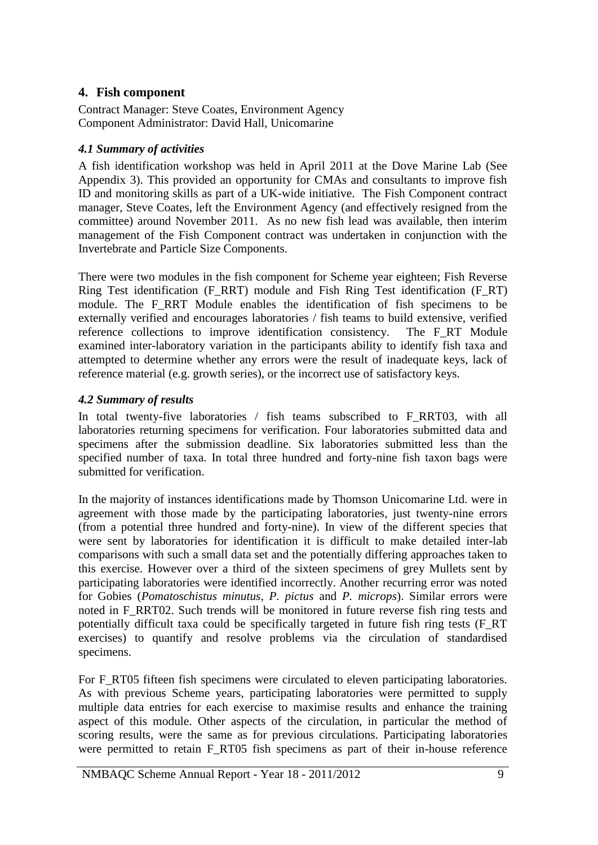# <span id="page-9-0"></span>**4. Fish component**

Contract Manager: Steve Coates, Environment Agency Component Administrator: David Hall, Unicomarine

# <span id="page-9-1"></span>*4.1 Summary of activities*

A fish identification workshop was held in April 2011 at the Dove Marine Lab (See Appendix 3). This provided an opportunity for CMAs and consultants to improve fish ID and monitoring skills as part of a UK-wide initiative. The Fish Component contract manager, Steve Coates, left the Environment Agency (and effectively resigned from the committee) around November 2011. As no new fish lead was available, then interim management of the Fish Component contract was undertaken in conjunction with the Invertebrate and Particle Size Components.

There were two modules in the fish component for Scheme year eighteen; Fish Reverse Ring Test identification (F\_RRT) module and Fish Ring Test identification (F\_RT) module. The F\_RRT Module enables the identification of fish specimens to be externally verified and encourages laboratories / fish teams to build extensive, verified reference collections to improve identification consistency. The F\_RT Module examined inter-laboratory variation in the participants ability to identify fish taxa and attempted to determine whether any errors were the result of inadequate keys, lack of reference material (e.g. growth series), or the incorrect use of satisfactory keys.

## <span id="page-9-2"></span>*4.2 Summary of results*

In total twenty-five laboratories / fish teams subscribed to F\_RRT03, with all laboratories returning specimens for verification. Four laboratories submitted data and specimens after the submission deadline. Six laboratories submitted less than the specified number of taxa. In total three hundred and forty-nine fish taxon bags were submitted for verification.

In the majority of instances identifications made by Thomson Unicomarine Ltd. were in agreement with those made by the participating laboratories, just twenty-nine errors (from a potential three hundred and forty-nine). In view of the different species that were sent by laboratories for identification it is difficult to make detailed inter-lab comparisons with such a small data set and the potentially differing approaches taken to this exercise. However over a third of the sixteen specimens of grey Mullets sent by participating laboratories were identified incorrectly. Another recurring error was noted for Gobies (*Pomatoschistus minutus, P. pictus* and *P. microps*). Similar errors were noted in F\_RRT02. Such trends will be monitored in future reverse fish ring tests and potentially difficult taxa could be specifically targeted in future fish ring tests (F\_RT exercises) to quantify and resolve problems via the circulation of standardised specimens.

For F\_RT05 fifteen fish specimens were circulated to eleven participating laboratories. As with previous Scheme years, participating laboratories were permitted to supply multiple data entries for each exercise to maximise results and enhance the training aspect of this module. Other aspects of the circulation, in particular the method of scoring results, were the same as for previous circulations. Participating laboratories were permitted to retain F\_RT05 fish specimens as part of their in-house reference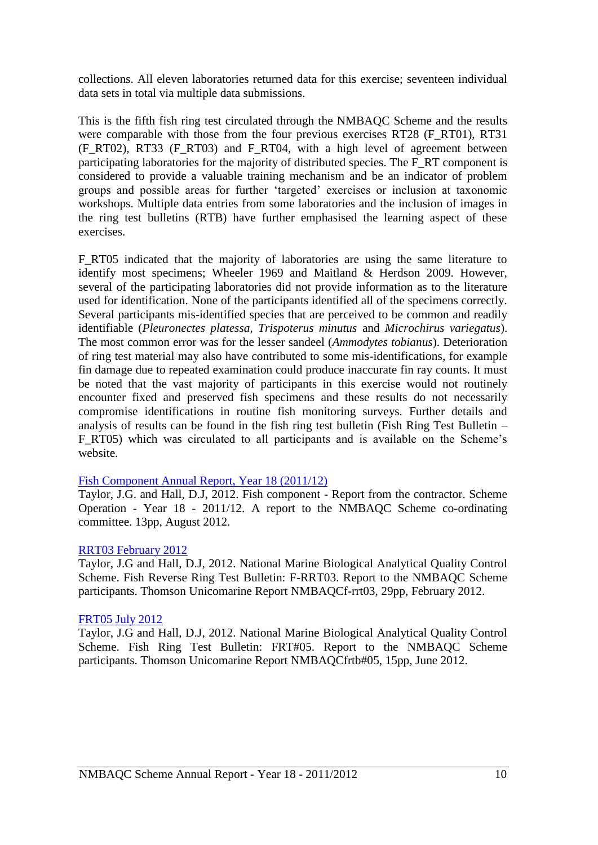collections. All eleven laboratories returned data for this exercise; seventeen individual data sets in total via multiple data submissions.

This is the fifth fish ring test circulated through the NMBAQC Scheme and the results were comparable with those from the four previous exercises RT28 (F\_RT01), RT31 (F\_RT02), RT33 (F\_RT03) and F\_RT04, with a high level of agreement between participating laboratories for the majority of distributed species. The F\_RT component is considered to provide a valuable training mechanism and be an indicator of problem groups and possible areas for further 'targeted' exercises or inclusion at taxonomic workshops. Multiple data entries from some laboratories and the inclusion of images in the ring test bulletins (RTB) have further emphasised the learning aspect of these exercises.

F\_RT05 indicated that the majority of laboratories are using the same literature to identify most specimens; Wheeler 1969 and Maitland & Herdson 2009. However, several of the participating laboratories did not provide information as to the literature used for identification. None of the participants identified all of the specimens correctly. Several participants mis-identified species that are perceived to be common and readily identifiable (*Pleuronectes platessa, Trispoterus minutus* and *Microchirus variegatus*). The most common error was for the lesser sandeel (*Ammodytes tobianus*). Deterioration of ring test material may also have contributed to some mis-identifications, for example fin damage due to repeated examination could produce inaccurate fin ray counts. It must be noted that the vast majority of participants in this exercise would not routinely encounter fixed and preserved fish specimens and these results do not necessarily compromise identifications in routine fish monitoring surveys. Further details and analysis of results can be found in the fish ring test bulletin (Fish Ring Test Bulletin – F\_RT05) which was circulated to all participants and is available on the Scheme's website.

#### [Fish Component Annual Report, Year 18 \(2011/12\)](http://www.nmbaqcs.org/scheme-components/fish/reports/year-18-annual-report-fish.aspx)

Taylor, J.G. and Hall, D.J, 2012. Fish component - Report from the contractor. Scheme Operation - Year 18 - 2011/12. A report to the NMBAQC Scheme co-ordinating committee. 13pp, August 2012.

#### [RRT03 February 2012](http://www.nmbaqcs.org/media/11274/fish_reversering_nmbaqcs_rrt03_rpt_v2.pdf)

Taylor, J.G and Hall, D.J, 2012. National Marine Biological Analytical Quality Control Scheme. Fish Reverse Ring Test Bulletin: F-RRT03. Report to the NMBAQC Scheme participants. Thomson Unicomarine Report NMBAQCf-rrt03, 29pp, February 2012.

#### [FRT05 July 2012](http://www.nmbaqcs.org/media/12307/r_frt05_bulletin.pdf)

Taylor, J.G and Hall, D.J, 2012. National Marine Biological Analytical Quality Control Scheme. Fish Ring Test Bulletin: FRT#05. Report to the NMBAQC Scheme participants. Thomson Unicomarine Report NMBAQCfrtb#05, 15pp, June 2012.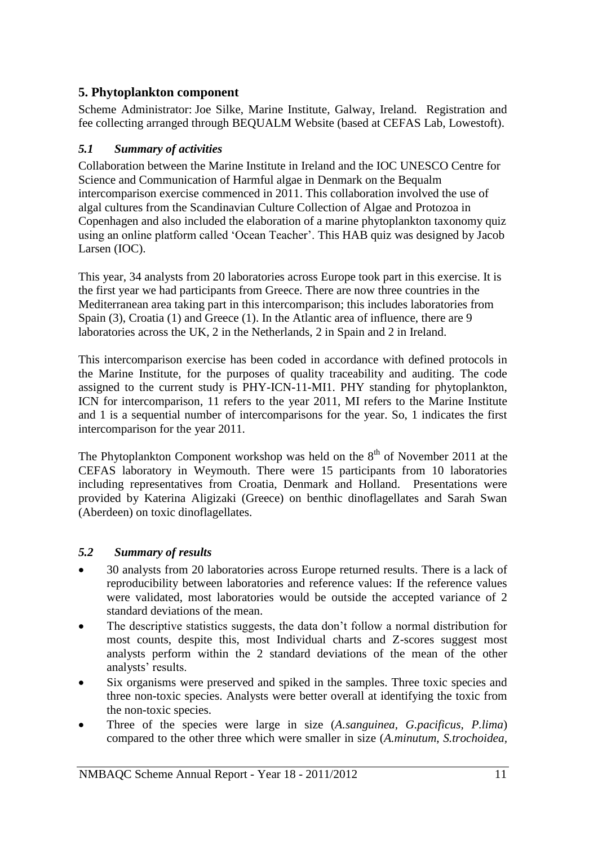# <span id="page-11-0"></span>**5. Phytoplankton component**

Scheme Administrator: Joe Silke, Marine Institute, Galway, Ireland. Registration and fee collecting arranged through BEQUALM Website (based at CEFAS Lab, Lowestoft).

# <span id="page-11-1"></span>*5.1 Summary of activities*

Collaboration between the Marine Institute in Ireland and the IOC UNESCO Centre for Science and Communication of Harmful algae in Denmark on the Bequalm intercomparison exercise commenced in 2011. This collaboration involved the use of algal cultures from the Scandinavian Culture Collection of Algae and Protozoa in Copenhagen and also included the elaboration of a marine phytoplankton taxonomy quiz using an online platform called 'Ocean Teacher'. This HAB quiz was designed by Jacob Larsen (IOC).

This year, 34 analysts from 20 laboratories across Europe took part in this exercise. It is the first year we had participants from Greece. There are now three countries in the Mediterranean area taking part in this intercomparison; this includes laboratories from Spain (3), Croatia (1) and Greece (1). In the Atlantic area of influence, there are 9 laboratories across the UK, 2 in the Netherlands, 2 in Spain and 2 in Ireland.

This intercomparison exercise has been coded in accordance with defined protocols in the Marine Institute, for the purposes of quality traceability and auditing. The code assigned to the current study is PHY-ICN-11-MI1. PHY standing for phytoplankton, ICN for intercomparison, 11 refers to the year 2011, MI refers to the Marine Institute and 1 is a sequential number of intercomparisons for the year. So, 1 indicates the first intercomparison for the year 2011.

The Phytoplankton Component workshop was held on the  $8<sup>th</sup>$  of November 2011 at the CEFAS laboratory in Weymouth. There were 15 participants from 10 laboratories including representatives from Croatia, Denmark and Holland. Presentations were provided by Katerina Aligizaki (Greece) on benthic dinoflagellates and Sarah Swan (Aberdeen) on toxic dinoflagellates.

# <span id="page-11-2"></span>*5.2 Summary of results*

- 30 analysts from 20 laboratories across Europe returned results. There is a lack of reproducibility between laboratories and reference values: If the reference values were validated, most laboratories would be outside the accepted variance of 2 standard deviations of the mean.
- The descriptive statistics suggests, the data don't follow a normal distribution for most counts, despite this, most Individual charts and Z-scores suggest most analysts perform within the 2 standard deviations of the mean of the other analysts' results.
- Six organisms were preserved and spiked in the samples. Three toxic species and three non-toxic species. Analysts were better overall at identifying the toxic from the non-toxic species.
- Three of the species were large in size (*A.sanguinea, G.pacificus, P.lima*) compared to the other three which were smaller in size (*A.minutum*, *S.trochoidea,*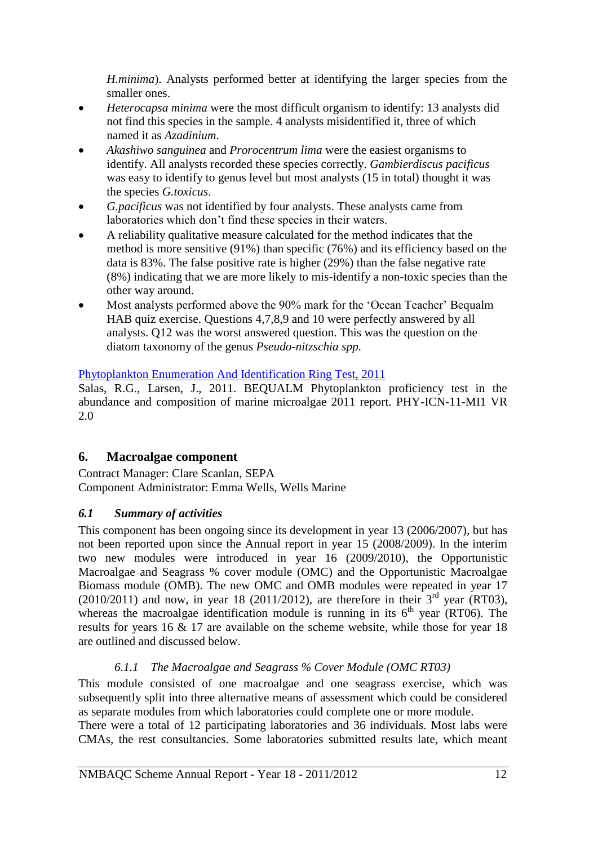*H.minima*). Analysts performed better at identifying the larger species from the smaller ones.

- *Heterocapsa minima* were the most difficult organism to identify: 13 analysts did not find this species in the sample. 4 analysts misidentified it, three of which named it as *Azadinium*.
- *Akashiwo sanguinea* and *Prorocentrum lima* were the easiest organisms to identify. All analysts recorded these species correctly. *Gambierdiscus pacificus*  was easy to identify to genus level but most analysts (15 in total) thought it was the species *G.toxicus*.
- *G.pacificus* was not identified by four analysts. These analysts came from laboratories which don't find these species in their waters.
- A reliability qualitative measure calculated for the method indicates that the method is more sensitive (91%) than specific (76%) and its efficiency based on the data is 83%. The false positive rate is higher (29%) than the false negative rate (8%) indicating that we are more likely to mis-identify a non-toxic species than the other way around.
- Most analysts performed above the 90% mark for the 'Ocean Teacher' Bequalm HAB quiz exercise. Questions 4,7,8,9 and 10 were perfectly answered by all analysts. Q12 was the worst answered question. This was the question on the diatom taxonomy of the genus *Pseudo-nitzschia spp.*

# [Phytoplankton Enumeration And Identification Ring Test, 2011](http://www.nmbaqcs.org/scheme-components/phytoplankton/phyto-report-2011.aspx)

Salas, R.G., Larsen, J., 2011. BEQUALM Phytoplankton proficiency test in the abundance and composition of marine microalgae 2011 report. PHY-ICN-11-MI1 VR 2.0

# <span id="page-12-0"></span>**6. Macroalgae component**

Contract Manager: Clare Scanlan, SEPA Component Administrator: Emma Wells, Wells Marine

# <span id="page-12-1"></span>*6.1 Summary of activities*

This component has been ongoing since its development in year 13 (2006/2007), but has not been reported upon since the Annual report in year 15 (2008/2009). In the interim two new modules were introduced in year 16 (2009/2010), the Opportunistic Macroalgae and Seagrass % cover module (OMC) and the Opportunistic Macroalgae Biomass module (OMB). The new OMC and OMB modules were repeated in year 17  $(2010/2011)$  and now, in year 18 (2011/2012), are therefore in their  $3<sup>rd</sup>$  year (RT03), whereas the macroalgae identification module is running in its  $6<sup>th</sup>$  year (RT06). The results for years 16 & 17 are available on the scheme website, while those for year 18 are outlined and discussed below.

# *6.1.1 The Macroalgae and Seagrass % Cover Module (OMC RT03)*

<span id="page-12-2"></span>This module consisted of one macroalgae and one seagrass exercise, which was subsequently split into three alternative means of assessment which could be considered as separate modules from which laboratories could complete one or more module.

There were a total of 12 participating laboratories and 36 individuals. Most labs were CMAs, the rest consultancies. Some laboratories submitted results late, which meant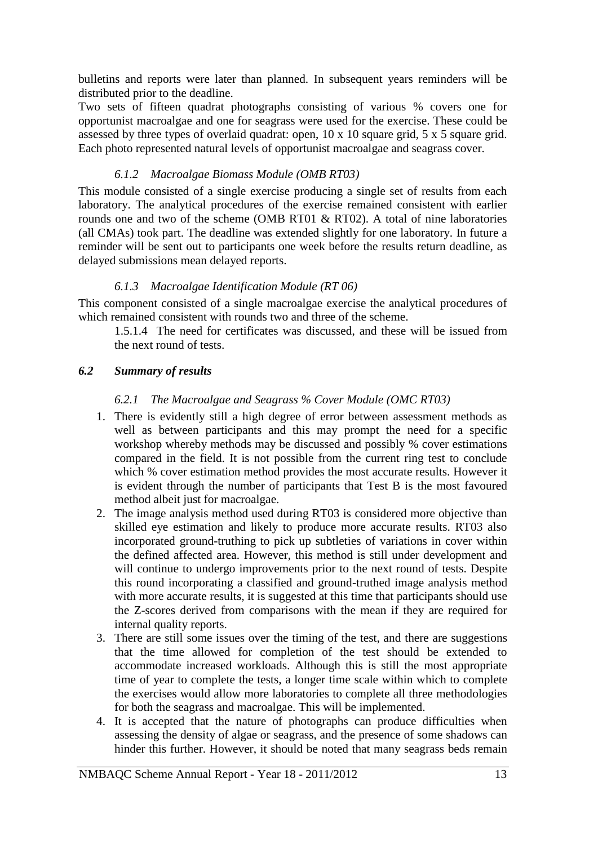bulletins and reports were later than planned. In subsequent years reminders will be distributed prior to the deadline.

Two sets of fifteen quadrat photographs consisting of various % covers one for opportunist macroalgae and one for seagrass were used for the exercise. These could be assessed by three types of overlaid quadrat: open, 10 x 10 square grid, 5 x 5 square grid. Each photo represented natural levels of opportunist macroalgae and seagrass cover.

# *6.1.2 Macroalgae Biomass Module (OMB RT03)*

<span id="page-13-0"></span>This module consisted of a single exercise producing a single set of results from each laboratory. The analytical procedures of the exercise remained consistent with earlier rounds one and two of the scheme (OMB RT01 & RT02). A total of nine laboratories (all CMAs) took part. The deadline was extended slightly for one laboratory. In future a reminder will be sent out to participants one week before the results return deadline, as delayed submissions mean delayed reports.

## *6.1.3 Macroalgae Identification Module (RT 06)*

<span id="page-13-1"></span>This component consisted of a single macroalgae exercise the analytical procedures of which remained consistent with rounds two and three of the scheme.

1.5.1.4 The need for certificates was discussed, and these will be issued from the next round of tests.

## <span id="page-13-3"></span><span id="page-13-2"></span>*6.2 Summary of results*

## *6.2.1 The Macroalgae and Seagrass % Cover Module (OMC RT03)*

- 1. There is evidently still a high degree of error between assessment methods as well as between participants and this may prompt the need for a specific workshop whereby methods may be discussed and possibly % cover estimations compared in the field. It is not possible from the current ring test to conclude which % cover estimation method provides the most accurate results. However it is evident through the number of participants that Test B is the most favoured method albeit just for macroalgae.
- 2. The image analysis method used during RT03 is considered more objective than skilled eye estimation and likely to produce more accurate results. RT03 also incorporated ground-truthing to pick up subtleties of variations in cover within the defined affected area. However, this method is still under development and will continue to undergo improvements prior to the next round of tests. Despite this round incorporating a classified and ground-truthed image analysis method with more accurate results, it is suggested at this time that participants should use the Z-scores derived from comparisons with the mean if they are required for internal quality reports.
- 3. There are still some issues over the timing of the test, and there are suggestions that the time allowed for completion of the test should be extended to accommodate increased workloads. Although this is still the most appropriate time of year to complete the tests, a longer time scale within which to complete the exercises would allow more laboratories to complete all three methodologies for both the seagrass and macroalgae. This will be implemented.
- 4. It is accepted that the nature of photographs can produce difficulties when assessing the density of algae or seagrass, and the presence of some shadows can hinder this further. However, it should be noted that many seagrass beds remain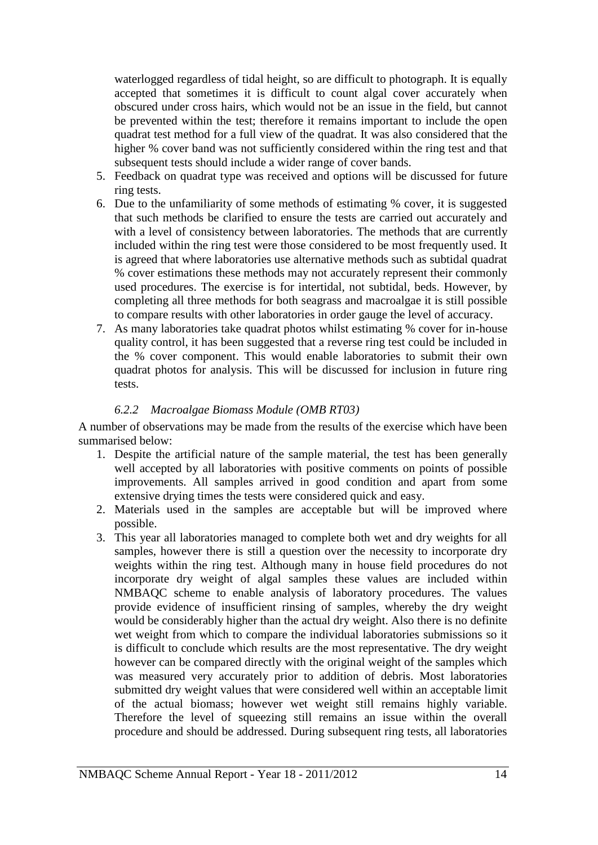waterlogged regardless of tidal height, so are difficult to photograph. It is equally accepted that sometimes it is difficult to count algal cover accurately when obscured under cross hairs, which would not be an issue in the field, but cannot be prevented within the test; therefore it remains important to include the open quadrat test method for a full view of the quadrat. It was also considered that the higher % cover band was not sufficiently considered within the ring test and that subsequent tests should include a wider range of cover bands.

- 5. Feedback on quadrat type was received and options will be discussed for future ring tests.
- 6. Due to the unfamiliarity of some methods of estimating % cover, it is suggested that such methods be clarified to ensure the tests are carried out accurately and with a level of consistency between laboratories. The methods that are currently included within the ring test were those considered to be most frequently used. It is agreed that where laboratories use alternative methods such as subtidal quadrat % cover estimations these methods may not accurately represent their commonly used procedures. The exercise is for intertidal, not subtidal, beds. However, by completing all three methods for both seagrass and macroalgae it is still possible to compare results with other laboratories in order gauge the level of accuracy.
- 7. As many laboratories take quadrat photos whilst estimating % cover for in-house quality control, it has been suggested that a reverse ring test could be included in the % cover component. This would enable laboratories to submit their own quadrat photos for analysis. This will be discussed for inclusion in future ring tests.

#### *6.2.2 Macroalgae Biomass Module (OMB RT03)*

<span id="page-14-0"></span>A number of observations may be made from the results of the exercise which have been summarised below:

- 1. Despite the artificial nature of the sample material, the test has been generally well accepted by all laboratories with positive comments on points of possible improvements. All samples arrived in good condition and apart from some extensive drying times the tests were considered quick and easy.
- 2. Materials used in the samples are acceptable but will be improved where possible.
- 3. This year all laboratories managed to complete both wet and dry weights for all samples, however there is still a question over the necessity to incorporate dry weights within the ring test. Although many in house field procedures do not incorporate dry weight of algal samples these values are included within NMBAQC scheme to enable analysis of laboratory procedures. The values provide evidence of insufficient rinsing of samples, whereby the dry weight would be considerably higher than the actual dry weight. Also there is no definite wet weight from which to compare the individual laboratories submissions so it is difficult to conclude which results are the most representative. The dry weight however can be compared directly with the original weight of the samples which was measured very accurately prior to addition of debris. Most laboratories submitted dry weight values that were considered well within an acceptable limit of the actual biomass; however wet weight still remains highly variable. Therefore the level of squeezing still remains an issue within the overall procedure and should be addressed. During subsequent ring tests, all laboratories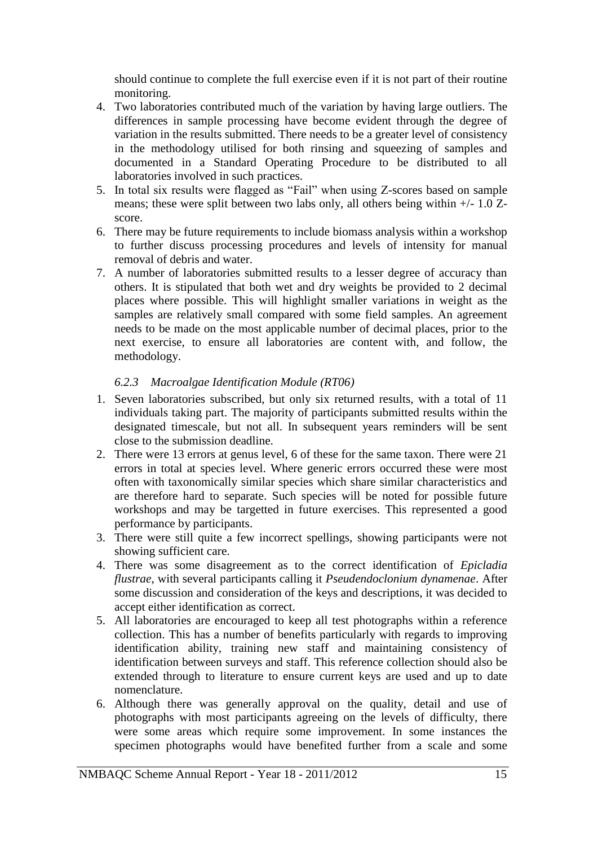should continue to complete the full exercise even if it is not part of their routine monitoring.

- 4. Two laboratories contributed much of the variation by having large outliers. The differences in sample processing have become evident through the degree of variation in the results submitted. There needs to be a greater level of consistency in the methodology utilised for both rinsing and squeezing of samples and documented in a Standard Operating Procedure to be distributed to all laboratories involved in such practices.
- 5. In total six results were flagged as "Fail" when using Z-scores based on sample means; these were split between two labs only, all others being within +/- 1.0 Zscore.
- 6. There may be future requirements to include biomass analysis within a workshop to further discuss processing procedures and levels of intensity for manual removal of debris and water.
- 7. A number of laboratories submitted results to a lesser degree of accuracy than others. It is stipulated that both wet and dry weights be provided to 2 decimal places where possible. This will highlight smaller variations in weight as the samples are relatively small compared with some field samples. An agreement needs to be made on the most applicable number of decimal places, prior to the next exercise, to ensure all laboratories are content with, and follow, the methodology.

# *6.2.3 Macroalgae Identification Module (RT06)*

- <span id="page-15-0"></span>1. Seven laboratories subscribed, but only six returned results, with a total of 11 individuals taking part. The majority of participants submitted results within the designated timescale, but not all. In subsequent years reminders will be sent close to the submission deadline.
- 2. There were 13 errors at genus level, 6 of these for the same taxon. There were 21 errors in total at species level. Where generic errors occurred these were most often with taxonomically similar species which share similar characteristics and are therefore hard to separate. Such species will be noted for possible future workshops and may be targetted in future exercises. This represented a good performance by participants.
- 3. There were still quite a few incorrect spellings, showing participants were not showing sufficient care.
- 4. There was some disagreement as to the correct identification of *Epicladia flustrae*, with several participants calling it *Pseudendoclonium dynamenae*. After some discussion and consideration of the keys and descriptions, it was decided to accept either identification as correct.
- 5. All laboratories are encouraged to keep all test photographs within a reference collection. This has a number of benefits particularly with regards to improving identification ability, training new staff and maintaining consistency of identification between surveys and staff. This reference collection should also be extended through to literature to ensure current keys are used and up to date nomenclature.
- 6. Although there was generally approval on the quality, detail and use of photographs with most participants agreeing on the levels of difficulty, there were some areas which require some improvement. In some instances the specimen photographs would have benefited further from a scale and some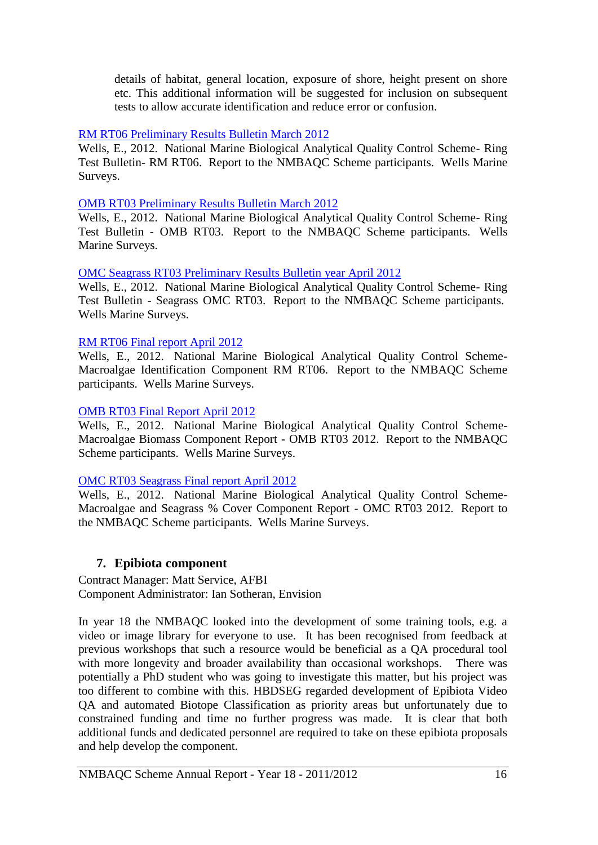details of habitat, general location, exposure of shore, height present on shore etc. This additional information will be suggested for inclusion on subsequent tests to allow accurate identification and reduce error or confusion.

### [RM RT06 Preliminary Results Bulletin March 2012](http://www.nmbaqcs.org/scheme-components/macroalgae/reports/rm-rt06-preliminary-results-bulletin.aspx)

Wells, E., 2012. National Marine Biological Analytical Quality Control Scheme- Ring Test Bulletin- RM RT06. Report to the NMBAQC Scheme participants. Wells Marine Surveys.

#### [OMB RT03 Preliminary Results Bulletin March 2012](http://www.nmbaqcs.org/scheme-components/macroalgae/reports/omb-rt03-preliminary-bulletin.aspx)

Wells, E., 2012. National Marine Biological Analytical Quality Control Scheme- Ring Test Bulletin - OMB RT03. Report to the NMBAQC Scheme participants. Wells Marine Surveys.

## [OMC Seagrass RT03 Preliminary Results Bulletin year April 2012](http://www.nmbaqcs.org/scheme-components/macroalgae/reports/omc-seagrass-rt03-preliminary-bulletin-.aspx)

Wells, E., 2012. National Marine Biological Analytical Quality Control Scheme- Ring Test Bulletin - Seagrass OMC RT03. Report to the NMBAQC Scheme participants. Wells Marine Surveys.

#### [RM RT06 Final report April 2012](http://www.nmbaqcs.org/scheme-components/macroalgae/reports/rm-rt06-final-report.aspx)

Wells, E., 2012. National Marine Biological Analytical Quality Control Scheme-Macroalgae Identification Component RM RT06. Report to the NMBAQC Scheme participants. Wells Marine Surveys.

#### [OMB RT03 Final Report April 2012](http://www.nmbaqcs.org/scheme-components/macroalgae/reports/omb-rt03-final-report.aspx)

Wells, E., 2012. National Marine Biological Analytical Quality Control Scheme-Macroalgae Biomass Component Report - OMB RT03 2012. Report to the NMBAQC Scheme participants. Wells Marine Surveys.

#### [OMC RT03 Seagrass Final report April 2012](http://www.nmbaqcs.org/scheme-components/macroalgae/reports/omc-rt03-macroalgae-seagrass-final-report.aspx)

Wells, E., 2012. National Marine Biological Analytical Quality Control Scheme-Macroalgae and Seagrass % Cover Component Report - OMC RT03 2012. Report to the NMBAQC Scheme participants. Wells Marine Surveys.

# <span id="page-16-0"></span>**7. Epibiota component**

Contract Manager: Matt Service, AFBI Component Administrator: Ian Sotheran, Envision

In year 18 the NMBAQC looked into the development of some training tools, e.g. a video or image library for everyone to use. It has been recognised from feedback at previous workshops that such a resource would be beneficial as a QA procedural tool with more longevity and broader availability than occasional workshops. There was potentially a PhD student who was going to investigate this matter, but his project was too different to combine with this. HBDSEG regarded development of Epibiota Video QA and automated Biotope Classification as priority areas but unfortunately due to constrained funding and time no further progress was made. It is clear that both additional funds and dedicated personnel are required to take on these epibiota proposals and help develop the component.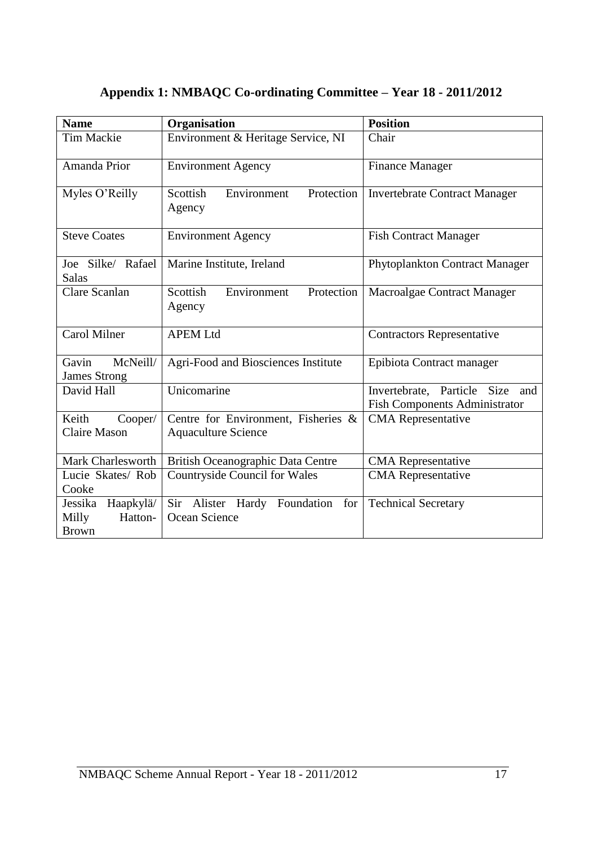| <b>Name</b>                                              | Organisation                                                      | <b>Position</b>                                                            |  |
|----------------------------------------------------------|-------------------------------------------------------------------|----------------------------------------------------------------------------|--|
| <b>Tim Mackie</b>                                        | Environment & Heritage Service, NI                                | Chair                                                                      |  |
| Amanda Prior                                             | <b>Environment Agency</b>                                         | <b>Finance Manager</b>                                                     |  |
| Myles O'Reilly                                           | Environment<br>Scottish<br>Protection<br>Agency                   | <b>Invertebrate Contract Manager</b>                                       |  |
| <b>Steve Coates</b>                                      | <b>Environment Agency</b>                                         | <b>Fish Contract Manager</b>                                               |  |
| Joe Silke/ Rafael<br><b>Salas</b>                        | Marine Institute, Ireland                                         | Phytoplankton Contract Manager                                             |  |
| <b>Clare Scanlan</b>                                     | Scottish<br>Environment<br>Protection<br>Agency                   | Macroalgae Contract Manager                                                |  |
| <b>Carol Milner</b>                                      | <b>APEM Ltd</b>                                                   | <b>Contractors Representative</b>                                          |  |
| Gavin<br>McNeill/<br><b>James Strong</b>                 | Agri-Food and Biosciences Institute                               | Epibiota Contract manager                                                  |  |
| David Hall                                               | Unicomarine                                                       | Invertebrate, Particle Size<br>and<br><b>Fish Components Administrator</b> |  |
| Keith<br>Cooper/<br><b>Claire Mason</b>                  | Centre for Environment, Fisheries &<br><b>Aquaculture Science</b> | <b>CMA</b> Representative                                                  |  |
| Mark Charlesworth                                        | British Oceanographic Data Centre                                 | <b>CMA</b> Representative                                                  |  |
| Lucie Skates/Rob<br>Cooke                                | <b>Countryside Council for Wales</b>                              | <b>CMA</b> Representative                                                  |  |
| Haapkylä/<br>Jessika<br>Milly<br>Hatton-<br><b>Brown</b> | Sir Alister Hardy Foundation<br>for<br>Ocean Science              | <b>Technical Secretary</b>                                                 |  |

# <span id="page-17-0"></span>**Appendix 1: NMBAQC Co-ordinating Committee – Year 18 - 2011/2012**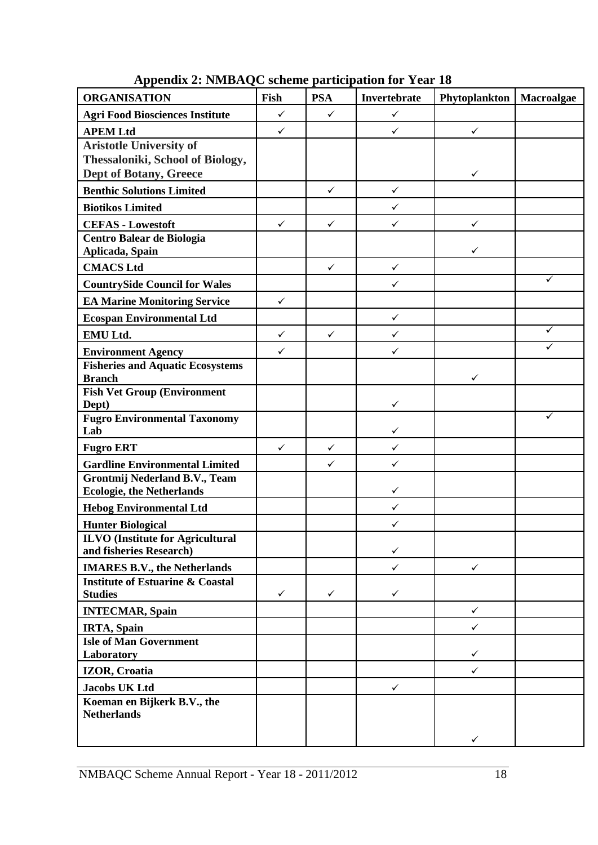<span id="page-18-0"></span>

| <b>ORGANISATION</b>                                                                          | Fish         | <b>PSA</b>   | Invertebrate | Phytoplankton | Macroalgae |
|----------------------------------------------------------------------------------------------|--------------|--------------|--------------|---------------|------------|
| <b>Agri Food Biosciences Institute</b>                                                       | $\checkmark$ | $\checkmark$ | $\checkmark$ |               |            |
| <b>APEM Ltd</b>                                                                              | $\checkmark$ |              | $\checkmark$ | $\checkmark$  |            |
| <b>Aristotle University of</b><br>Thessaloniki, School of Biology,<br>Dept of Botany, Greece |              |              |              | ✓             |            |
| <b>Benthic Solutions Limited</b>                                                             |              | $\checkmark$ | $\checkmark$ |               |            |
| <b>Biotikos Limited</b>                                                                      |              |              | $\checkmark$ |               |            |
| <b>CEFAS - Lowestoft</b>                                                                     | ✓            | $\checkmark$ | $\checkmark$ | $\checkmark$  |            |
| Centro Balear de Biologia<br>Aplicada, Spain                                                 |              |              |              | ✓             |            |
| <b>CMACS Ltd</b>                                                                             |              | $\checkmark$ | $\checkmark$ |               |            |
| <b>CountrySide Council for Wales</b>                                                         |              |              | $\checkmark$ |               | ✓          |
| <b>EA Marine Monitoring Service</b>                                                          | $\checkmark$ |              |              |               |            |
| <b>Ecospan Environmental Ltd</b>                                                             |              |              | $\checkmark$ |               |            |
| EMU Ltd.                                                                                     | $\checkmark$ | $\checkmark$ | $\checkmark$ |               | ✓          |
| <b>Environment Agency</b>                                                                    | $\checkmark$ |              | $\checkmark$ |               | ✓          |
| <b>Fisheries and Aquatic Ecosystems</b><br><b>Branch</b>                                     |              |              |              | ✓             |            |
| <b>Fish Vet Group (Environment</b><br>Dept)                                                  |              |              | ✓            |               |            |
| <b>Fugro Environmental Taxonomy</b><br>Lab                                                   |              |              | ✓            |               | ✓          |
| <b>Fugro ERT</b>                                                                             | $\checkmark$ | $\checkmark$ | $\checkmark$ |               |            |
| <b>Gardline Environmental Limited</b>                                                        |              | $\checkmark$ | $\checkmark$ |               |            |
| Grontmij Nederland B.V., Team<br><b>Ecologie, the Netherlands</b>                            |              |              | ✓            |               |            |
| <b>Hebog Environmental Ltd</b>                                                               |              |              | $\checkmark$ |               |            |
| <b>Hunter Biological</b>                                                                     |              |              | $\checkmark$ |               |            |
| <b>ILVO</b> (Institute for Agricultural<br>and fisheries Research)                           |              |              | ✓            |               |            |
| <b>IMARES B.V., the Netherlands</b>                                                          |              |              | $\checkmark$ | $\checkmark$  |            |
| <b>Institute of Estuarine &amp; Coastal</b><br><b>Studies</b>                                | ✓            | $\checkmark$ | ✓            |               |            |
| <b>INTECMAR, Spain</b>                                                                       |              |              |              | $\checkmark$  |            |
| <b>IRTA</b> , Spain                                                                          |              |              |              | $\checkmark$  |            |
| <b>Isle of Man Government</b><br>Laboratory                                                  |              |              |              | ✓             |            |
| <b>IZOR, Croatia</b>                                                                         |              |              |              | ✓             |            |
| <b>Jacobs UK Ltd</b>                                                                         |              |              | $\checkmark$ |               |            |
| Koeman en Bijkerk B.V., the<br><b>Netherlands</b>                                            |              |              |              |               |            |
|                                                                                              |              |              |              | ✓             |            |

**Appendix 2: NMBAQC scheme participation for Year 18**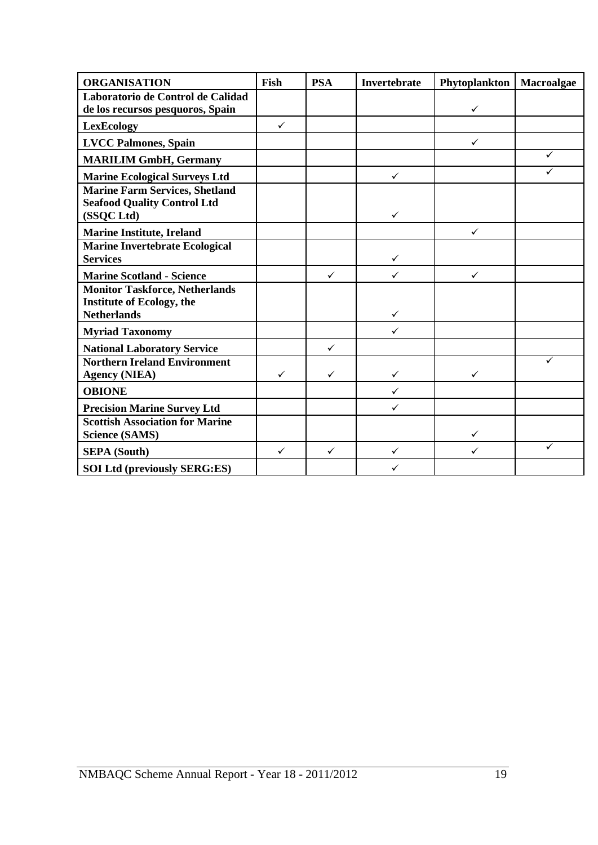| <b>ORGANISATION</b>                                                                             | Fish         | <b>PSA</b>   | Invertebrate | Phytoplankton | Macroalgae |
|-------------------------------------------------------------------------------------------------|--------------|--------------|--------------|---------------|------------|
| Laboratorio de Control de Calidad<br>de los recursos pesquoros, Spain                           |              |              |              | $\checkmark$  |            |
| <b>LexEcology</b>                                                                               | $\checkmark$ |              |              |               |            |
| <b>LVCC Palmones, Spain</b>                                                                     |              |              |              | $\checkmark$  |            |
| <b>MARILIM GmbH, Germany</b>                                                                    |              |              |              |               | ✓          |
| <b>Marine Ecological Surveys Ltd</b>                                                            |              |              | $\checkmark$ |               | ✓          |
| <b>Marine Farm Services, Shetland</b><br><b>Seafood Quality Control Ltd</b><br>(SSQC Ltd)       |              |              | ✓            |               |            |
| <b>Marine Institute, Ireland</b>                                                                |              |              |              | $\checkmark$  |            |
| <b>Marine Invertebrate Ecological</b><br><b>Services</b>                                        |              |              | $\checkmark$ |               |            |
| <b>Marine Scotland - Science</b>                                                                |              | ✓            | $\checkmark$ | $\checkmark$  |            |
| <b>Monitor Taskforce, Netherlands</b><br><b>Institute of Ecology, the</b><br><b>Netherlands</b> |              |              | $\checkmark$ |               |            |
| <b>Myriad Taxonomy</b>                                                                          |              |              | $\checkmark$ |               |            |
| <b>National Laboratory Service</b>                                                              |              | $\checkmark$ |              |               |            |
| <b>Northern Ireland Environment</b><br><b>Agency (NIEA)</b>                                     | $\checkmark$ | ✓            | $\checkmark$ | $\checkmark$  |            |
| <b>OBIONE</b>                                                                                   |              |              | $\checkmark$ |               |            |
| <b>Precision Marine Survey Ltd</b>                                                              |              |              | ✓            |               |            |
| <b>Scottish Association for Marine</b><br><b>Science (SAMS)</b>                                 |              |              |              | $\checkmark$  |            |
| <b>SEPA</b> (South)                                                                             | $\checkmark$ | ✓            | ✓            | $\checkmark$  | ✓          |
| <b>SOI Ltd (previously SERG:ES)</b>                                                             |              |              | ✓            |               |            |